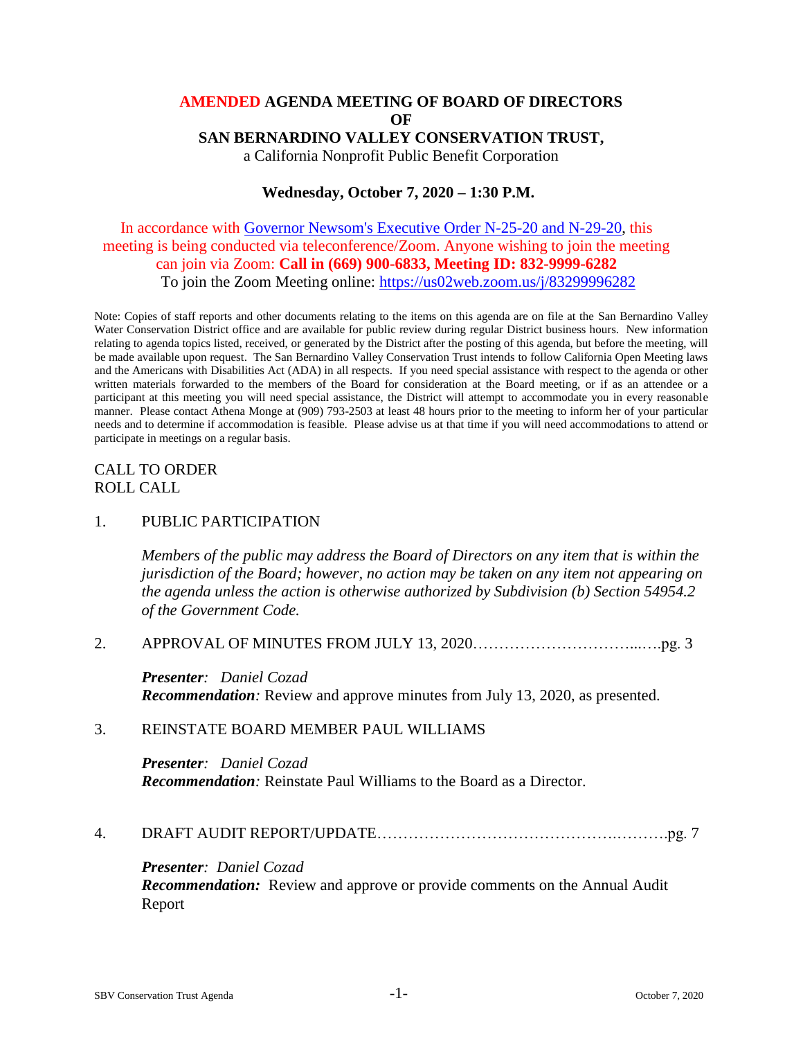# **AMENDED AGENDA MEETING OF BOARD OF DIRECTORS OF SAN BERNARDINO VALLEY CONSERVATION TRUST,** a California Nonprofit Public Benefit Corporation

# **Wednesday, October 7, 2020 – 1:30 P.M.**

# In accordance with [Governor Newsom's Executive Order N-25-20 and N-29-20,](https://www.gov.ca.gov/wp-content/uploads/2020/03/3.12.20-EO-N-25-20-COVID-19.pdf) this meeting is being conducted via teleconference/Zoom. Anyone wishing to join the meeting can join via Zoom: **Call in (669) 900-6833, Meeting ID: 832-9999-6282** To join the Zoom Meeting online: [https://us02web.zoom.us/j/83299996282](https://us02web.zoom.us/j/84785849752)

Note: Copies of staff reports and other documents relating to the items on this agenda are on file at the San Bernardino Valley Water Conservation District office and are available for public review during regular District business hours. New information relating to agenda topics listed, received, or generated by the District after the posting of this agenda, but before the meeting, will be made available upon request. The San Bernardino Valley Conservation Trust intends to follow California Open Meeting laws and the Americans with Disabilities Act (ADA) in all respects. If you need special assistance with respect to the agenda or other written materials forwarded to the members of the Board for consideration at the Board meeting, or if as an attendee or a participant at this meeting you will need special assistance, the District will attempt to accommodate you in every reasonable manner. Please contact Athena Monge at (909) 793-2503 at least 48 hours prior to the meeting to inform her of your particular needs and to determine if accommodation is feasible. Please advise us at that time if you will need accommodations to attend or participate in meetings on a regular basis.

# CALL TO ORDER ROLL CALL

### 1. PUBLIC PARTICIPATION

*Members of the public may address the Board of Directors on any item that is within the jurisdiction of the Board; however, no action may be taken on any item not appearing on the agenda unless the action is otherwise authorized by Subdivision (b) Section 54954.2 of the Government Code.*

### 2. APPROVAL OF MINUTES FROM JULY 13, 2020…………………………...….pg. 3

*Presenter: Daniel Cozad Recommendation:* Review and approve minutes from July 13, 2020, as presented.

### 3. REINSTATE BOARD MEMBER PAUL WILLIAMS

*Presenter: Daniel Cozad Recommendation:* Reinstate Paul Williams to the Board as a Director.

### 4. DRAFT AUDIT REPORT/UPDATE……………………………………….……….pg. 7

*Presenter: Daniel Cozad Recommendation:* Review and approve or provide comments on the Annual Audit Report